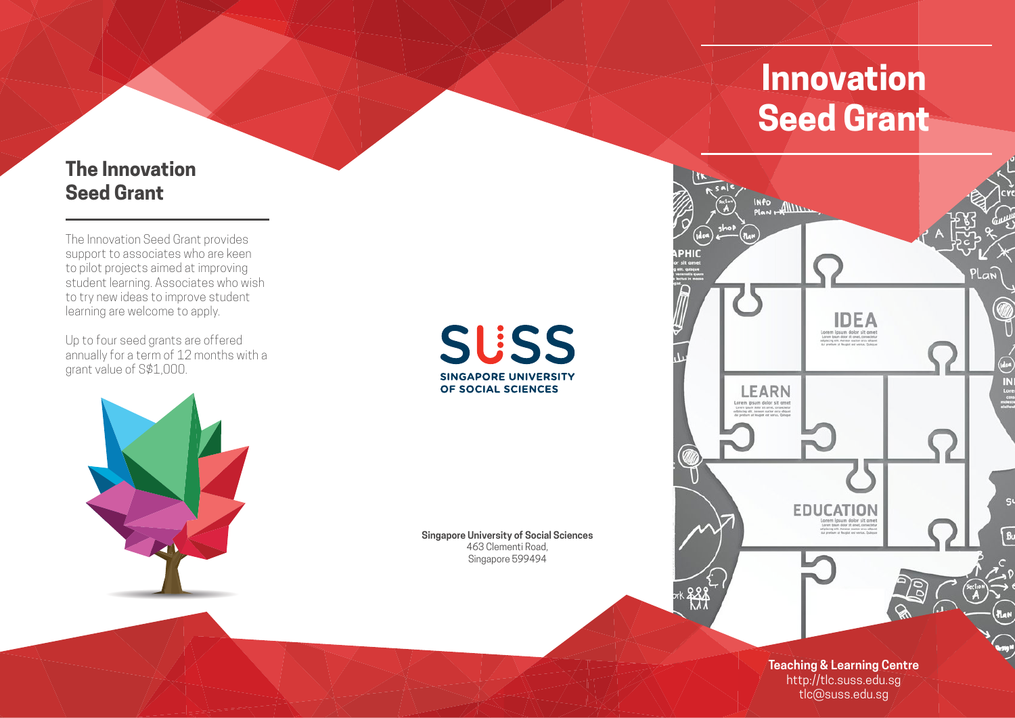### **The Innovation Seed Grant**

The Innovation Seed Grant provides support to associates who are keen to pilot projects aimed at improving student learning. Associates who wish to try new ideas to improve student learning are welcome to apply.

Up to four seed grants are offered annually for a term of 12 months with a grant value of S\$1,000.

**SUSS SINGAPORE UNIVERSITY** OF SOCIAL SCIENCES

**Singapore University of Social Sciences** 463 Clementi Road, Singapore 599494

# **Innovation Seed Grant**